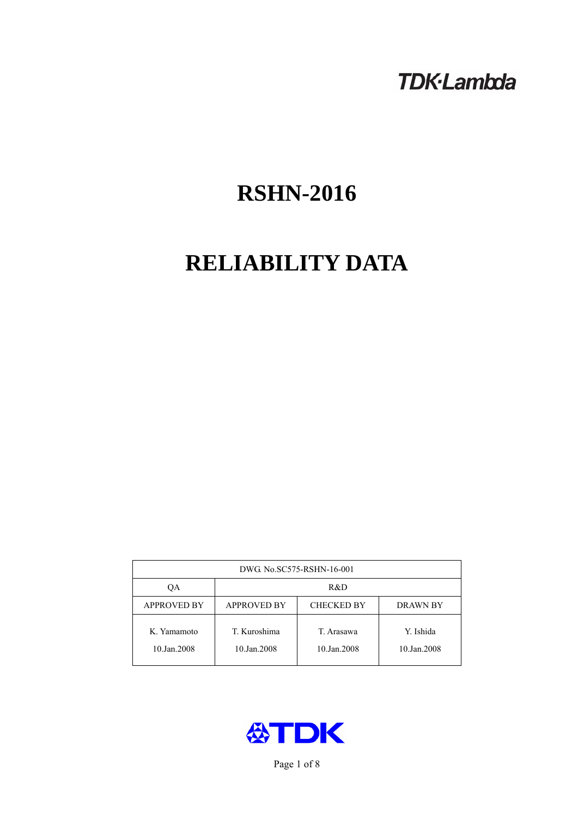# **TDK-Lambda**

# **RSHN-2016**

# **RELIABILITY DATA**

| DWG No.SC575-RSHN-16-001   |                                                            |                           |                          |  |  |
|----------------------------|------------------------------------------------------------|---------------------------|--------------------------|--|--|
| QA                         | R&D                                                        |                           |                          |  |  |
| <b>APPROVED BY</b>         | <b>APPROVED BY</b><br><b>CHECKED BY</b><br><b>DRAWN BY</b> |                           |                          |  |  |
| K. Yamamoto<br>10.Jan.2008 | T. Kuroshima<br>10.Jan.2008                                | T. Arasawa<br>10.Jan.2008 | Y. Ishida<br>10.Jan.2008 |  |  |



Page 1 of 8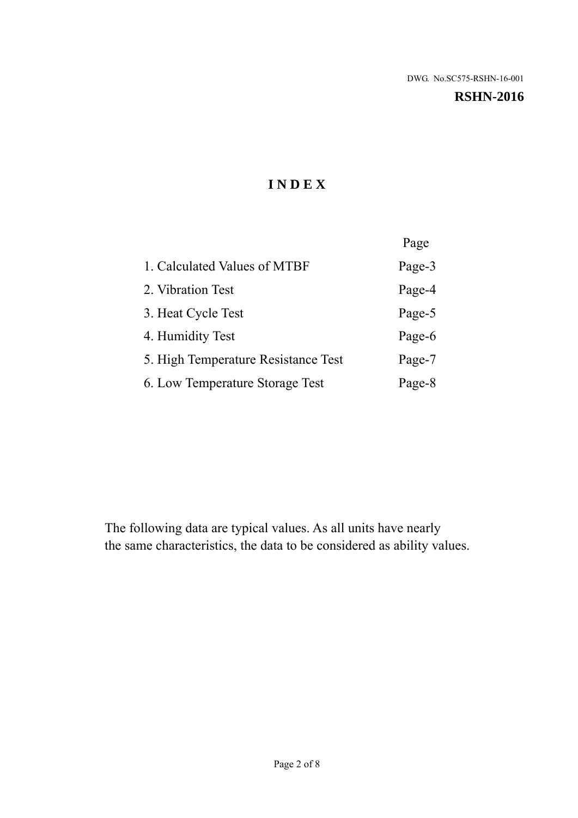# **RSHN-2016**

# **I N D E X**

|                                     | Page   |
|-------------------------------------|--------|
| 1. Calculated Values of MTBF        | Page-3 |
| 2. Vibration Test                   | Page-4 |
| 3. Heat Cycle Test                  | Page-5 |
| 4. Humidity Test                    | Page-6 |
| 5. High Temperature Resistance Test | Page-7 |
| 6. Low Temperature Storage Test     | Page-8 |

The following data are typical values. As all units have nearly the same characteristics, the data to be considered as ability values.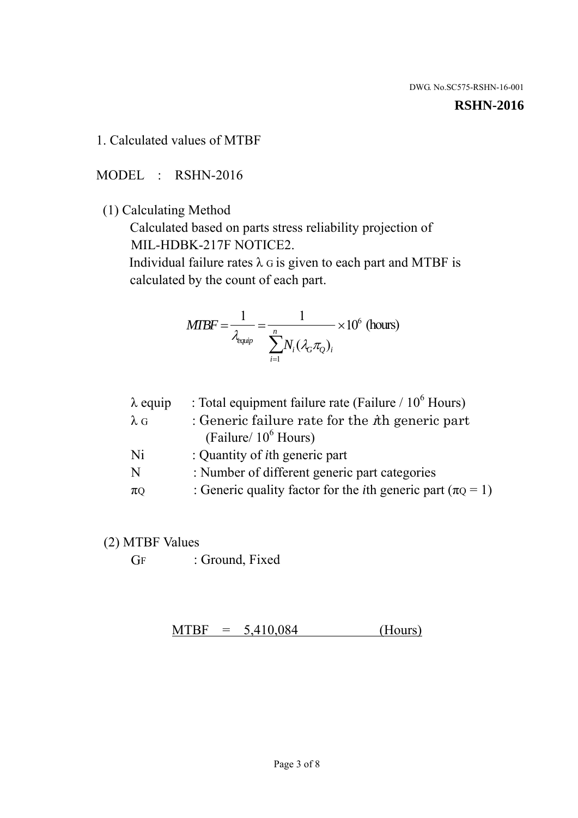#### **RSHN-2016**

#### 1. Calculated values of MTBF

MODEL : RSHN-2016

(1) Calculating Method

 Calculated based on parts stress reliability projection of MIL-HDBK-217F NOTICE2.

Individual failure rates  $\lambda$  G is given to each part and MTBF is calculated by the count of each part.

$$
MIBF = \frac{1}{\lambda_{\text{equip}}} = \frac{1}{\sum_{i=1}^{n} N_i (\lambda_G \pi_Q)_i} \times 10^6 \text{ (hours)}
$$

| $\lambda$ equip | : Total equipment failure rate (Failure $/ 10^6$ Hours)                   |
|-----------------|---------------------------------------------------------------------------|
| $\lambda$ G     | : Generic failure rate for the $\hbar$ generic part                       |
|                 | (Failure/ $10^6$ Hours)                                                   |
| Ni              | : Quantity of <i>i</i> th generic part                                    |
| N               | : Number of different generic part categories                             |
| $\pi$ Q         | : Generic quality factor for the <i>i</i> th generic part ( $\pi Q = 1$ ) |

- (2) MTBF Values
	- GF : Ground, Fixed

 $MTBF = 5,410,084$  (Hours)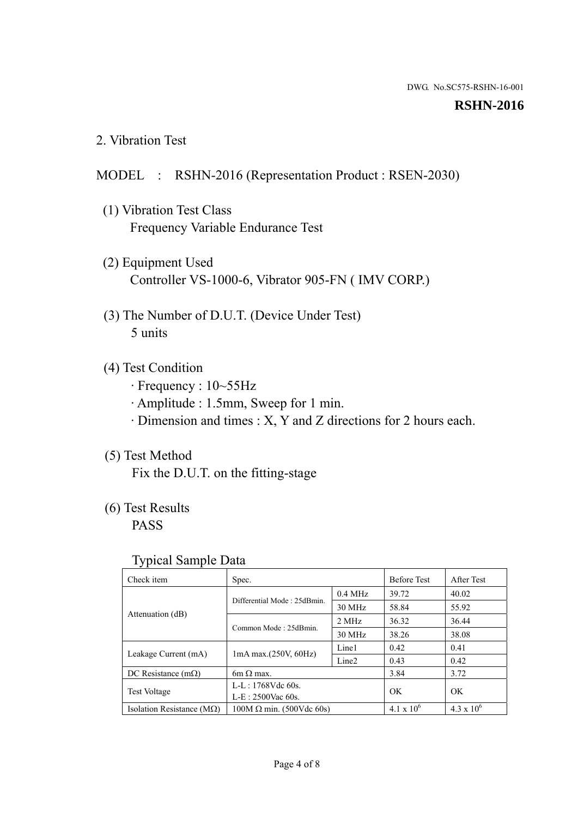#### **RSHN-2016**

2. Vibration Test

# MODEL : RSHN-2016 (Representation Product : RSEN-2030)

- (1) Vibration Test Class Frequency Variable Endurance Test
- (2) Equipment Used Controller VS-1000-6, Vibrator 905-FN ( IMV CORP.)
- (3) The Number of D.U.T. (Device Under Test) 5 units
- (4) Test Condition
	- · Frequency : 10~55Hz
	- · Amplitude : 1.5mm, Sweep for 1 min.
	- · Dimension and times : X, Y and Z directions for 2 hours each.

# (5) Test Method

Fix the D.U.T. on the fitting-stage

# (6) Test Results

PASS

#### Typical Sample Data

| ັ່                                 |                                                         |           |                     |                     |
|------------------------------------|---------------------------------------------------------|-----------|---------------------|---------------------|
| Check item                         | Spec.                                                   |           | <b>Before Test</b>  | After Test          |
|                                    | Differential Mode: 25dBmin.                             | $0.4$ MHz | 39.72               | 40.02               |
|                                    |                                                         | 30 MHz    | 58.84               | 55.92               |
| Attenuation (dB)                   | Common Mode: 25dBmin.                                   | 2 MHz     | 36.32               | 36.44               |
|                                    |                                                         | 30 MHz    | 38.26               | 38.08               |
| Leakage Current (mA)               | Line1<br>$1mA$ max. $(250V, 60Hz)$<br>Line <sub>2</sub> |           | 0.42                | 0.41                |
|                                    |                                                         | 0.43      | 0.42                |                     |
| DC Resistance $(m\Omega)$          | 6m $\Omega$ max.                                        |           | 3.84                | 3.72                |
| <b>Test Voltage</b>                | $L-L: 1768Vdc$ 60s.                                     |           | OK                  | OK.                 |
|                                    | $L-E: 2500$ Vac 60s.                                    |           |                     |                     |
| Isolation Resistance ( $M\Omega$ ) | $100M \Omega$ min. (500Vdc 60s)                         |           | $4.1 \times 10^{6}$ | $4.3 \times 10^{6}$ |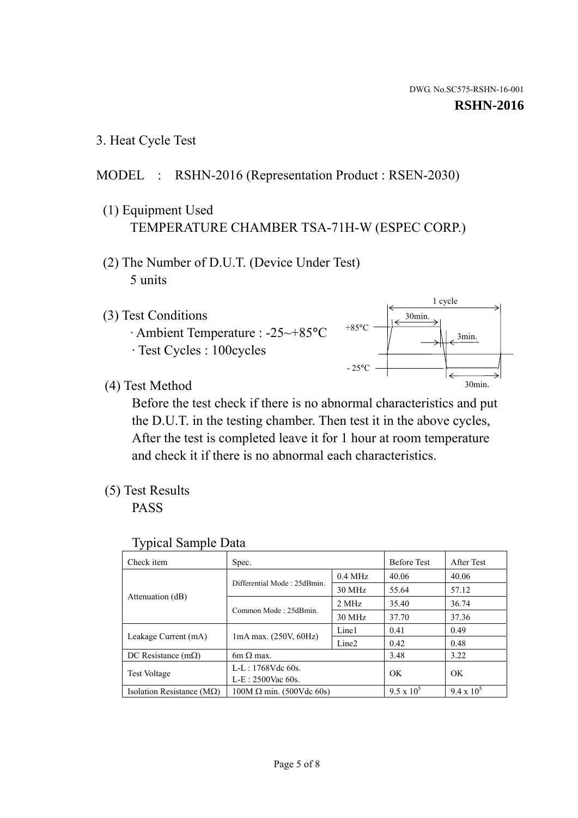1 cycle

3min.

30min.

3. Heat Cycle Test

# MODEL : RSHN-2016 (Representation Product : RSEN-2030)

- (1) Equipment Used TEMPERATURE CHAMBER TSA-71H-W (ESPEC CORP.)
- (2) The Number of D.U.T. (Device Under Test) 5 units
- (3) Test Conditions
	- · Ambient Temperature : -25~+85°C · Test Cycles : 100cycles
- (4) Test Method

 Before the test check if there is no abnormal characteristics and put the D.U.T. in the testing chamber. Then test it in the above cycles, After the test is completed leave it for 1 hour at room temperature and check it if there is no abnormal each characteristics. 30min.

 $+85$ °C

 $-25^{\circ}$ C

(5) Test Results

PASS

| <b>Typical Sample Data</b> |  |
|----------------------------|--|
|                            |  |

| Check item                         | Spec.                           |                   | <b>Before Test</b> | After Test        |
|------------------------------------|---------------------------------|-------------------|--------------------|-------------------|
|                                    | Differential Mode: 25dBmin.     | $0.4$ MHz         | 40.06              | 40.06             |
|                                    |                                 | 30 MHz            | 55.64              | 57.12             |
| Attenuation (dB)                   | Common Mode: 25dBmin.           | 2 MHz             | 35.40              | 36.74             |
|                                    |                                 | 30 MHz            | 37.70              | 37.36             |
| Leakage Current (mA)               | $1mA$ max. $(250V, 60Hz)$       | Line1             | 0.41               | 0.49              |
|                                    |                                 | Line <sub>2</sub> | 0.42               | 0.48              |
| DC Resistance $(m\Omega)$          | 6m $\Omega$ max.                |                   | 3.48               | 3.22              |
| <b>Test Voltage</b>                | $L-L: 1768Vdc$ 60s.             |                   | OK                 | OK                |
|                                    | $L-E: 2500$ Vac 60s.            |                   |                    |                   |
| Isolation Resistance ( $M\Omega$ ) | $100M \Omega$ min. (500Vdc 60s) |                   | $9.5 \times 10^5$  | $9.4 \times 10^5$ |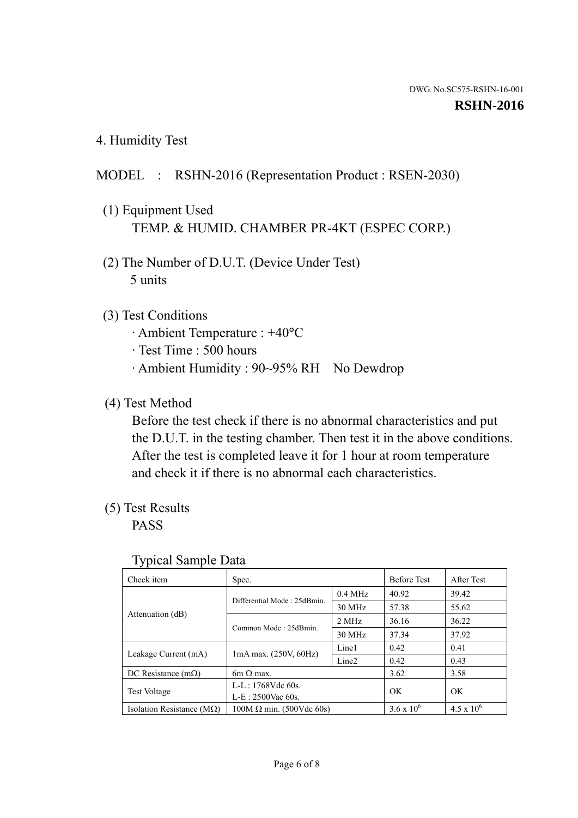4. Humidity Test

# MODEL : RSHN-2016 (Representation Product : RSEN-2030)

- (1) Equipment Used TEMP. & HUMID. CHAMBER PR-4KT (ESPEC CORP.)
- (2) The Number of D.U.T. (Device Under Test) 5 units

## (3) Test Conditions

- · Ambient Temperature : +40°C
- · Test Time : 500 hours
- · Ambient Humidity : 90~95% RH No Dewdrop

### (4) Test Method

 Before the test check if there is no abnormal characteristics and put the D.U.T. in the testing chamber. Then test it in the above conditions. After the test is completed leave it for 1 hour at room temperature and check it if there is no abnormal each characteristics.

## (5) Test Results

PASS

| . .                                |                                                         |           |                     |                     |
|------------------------------------|---------------------------------------------------------|-----------|---------------------|---------------------|
| Check item                         | Spec.                                                   |           | <b>Before Test</b>  | After Test          |
|                                    | Differential Mode: 25dBmin.                             | $0.4$ MHz | 40.92               | 39.42               |
|                                    |                                                         | 30 MHz    | 57.38               | 55.62               |
| Attenuation (dB)                   | Common Mode: 25dBmin.                                   | 2 MHz     | 36.16               | 36.22               |
|                                    |                                                         | 30 MHz    | 37.34               | 37.92               |
| Leakage Current (mA)               | Line1<br>$1mA$ max. $(250V, 60Hz)$<br>Line <sub>2</sub> |           | 0.42                | 0.41                |
|                                    |                                                         |           | 0.42                | 0.43                |
| DC Resistance (m $\Omega$ )        | $6m \Omega$ max.                                        |           | 3.62                | 3.58                |
| <b>Test Voltage</b>                | $L-L: 1768Vdc$ 60s.                                     |           | OK                  | OK.                 |
|                                    | $L-E$ : 2500Vac 60s.                                    |           |                     |                     |
| Isolation Resistance ( $M\Omega$ ) | $100M \Omega$ min. (500Vdc 60s)                         |           | $3.6 \times 10^{6}$ | $4.5 \times 10^{6}$ |

#### Typical Sample Data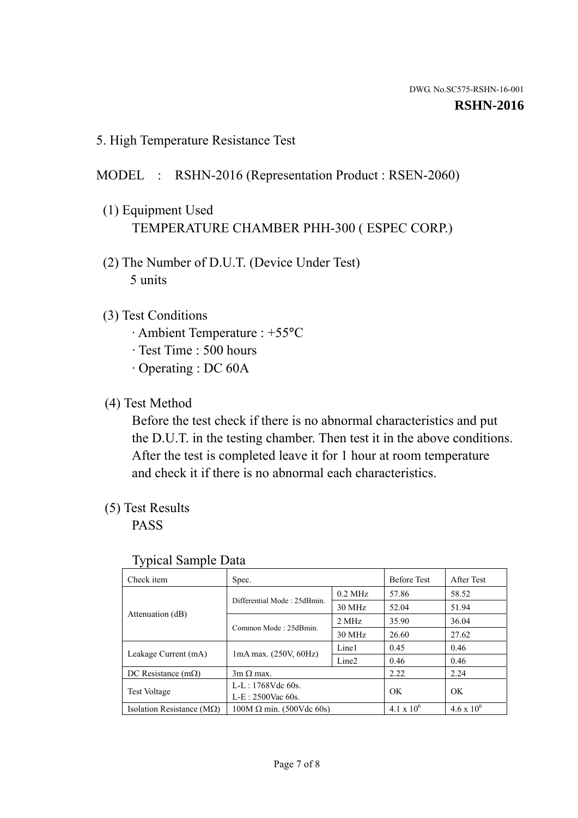5. High Temperature Resistance Test

### MODEL : RSHN-2016 (Representation Product : RSEN-2060)

- (1) Equipment Used TEMPERATURE CHAMBER PHH-300 ( ESPEC CORP.)
- (2) The Number of D.U.T. (Device Under Test) 5 units
- (3) Test Conditions
	- · Ambient Temperature : +55°C
	- · Test Time : 500 hours
	- · Operating : DC 60A
- (4) Test Method

 Before the test check if there is no abnormal characteristics and put the D.U.T. in the testing chamber. Then test it in the above conditions. After the test is completed leave it for 1 hour at room temperature and check it if there is no abnormal each characteristics.

(5) Test Results

PASS

| ╯┸                                 |                                                         |           |                     |                     |
|------------------------------------|---------------------------------------------------------|-----------|---------------------|---------------------|
| Check item                         | Spec.                                                   |           | <b>Before Test</b>  | After Test          |
|                                    | Differential Mode: 25dBmin.                             | $0.2$ MHz | 57.86               | 58.52               |
|                                    |                                                         | 30 MHz    | 52.04               | 51.94               |
| Attenuation (dB)                   | Common Mode: 25dBmin.                                   | 2 MHz     | 35.90               | 36.04               |
|                                    |                                                         | 30 MHz    | 26.60               | 27.62               |
| Leakage Current (mA)               | Line1<br>$1mA$ max. $(250V, 60Hz)$<br>Line <sub>2</sub> |           | 0.45                | 0.46                |
|                                    |                                                         | 0.46      | 0.46                |                     |
| DC Resistance $(m\Omega)$          | $3m \Omega$ max.                                        |           | 2.22                | 2.24                |
| <b>Test Voltage</b>                | $L-L: 1768Vdc$ 60s.                                     |           | OK                  | OK                  |
|                                    | $L-E: 2500$ Vac 60s.                                    |           |                     |                     |
| Isolation Resistance ( $M\Omega$ ) | $100M \Omega$ min. (500Vdc 60s)                         |           | $4.1 \times 10^{6}$ | $4.6 \times 10^{6}$ |

#### Typical Sample Data